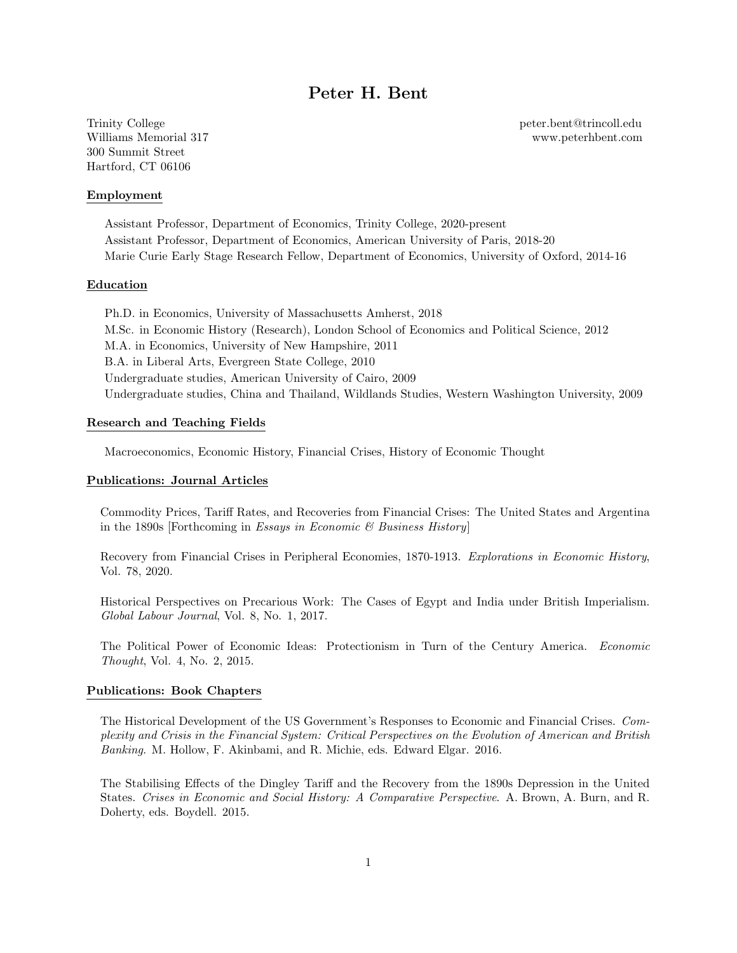# Peter H. Bent

Trinity College peter.bent@trincoll.edu Williams Memorial 317 www.peterhbent.com 300 Summit Street Hartford, CT 06106

Employment

Assistant Professor, Department of Economics, Trinity College, 2020-present Assistant Professor, Department of Economics, American University of Paris, 2018-20 Marie Curie Early Stage Research Fellow, Department of Economics, University of Oxford, 2014-16

# Education

Ph.D. in Economics, University of Massachusetts Amherst, 2018 M.Sc. in Economic History (Research), London School of Economics and Political Science, 2012 M.A. in Economics, University of New Hampshire, 2011 B.A. in Liberal Arts, Evergreen State College, 2010 Undergraduate studies, American University of Cairo, 2009 Undergraduate studies, China and Thailand, Wildlands Studies, Western Washington University, 2009

# Research and Teaching Fields

Macroeconomics, Economic History, Financial Crises, History of Economic Thought

## Publications: Journal Articles

Commodity Prices, Tariff Rates, and Recoveries from Financial Crises: The United States and Argentina in the 1890s [Forthcoming in Essays in Economic  $\mathcal B$  Business History]

Recovery from Financial Crises in Peripheral Economies, 1870-1913. Explorations in Economic History, Vol. 78, 2020.

Historical Perspectives on Precarious Work: The Cases of Egypt and India under British Imperialism. Global Labour Journal, Vol. 8, No. 1, 2017.

The Political Power of Economic Ideas: Protectionism in Turn of the Century America. Economic Thought, Vol. 4, No. 2, 2015.

#### Publications: Book Chapters

The Historical Development of the US Government's Responses to Economic and Financial Crises. Complexity and Crisis in the Financial System: Critical Perspectives on the Evolution of American and British Banking. M. Hollow, F. Akinbami, and R. Michie, eds. Edward Elgar. 2016.

The Stabilising Effects of the Dingley Tariff and the Recovery from the 1890s Depression in the United States. Crises in Economic and Social History: A Comparative Perspective. A. Brown, A. Burn, and R. Doherty, eds. Boydell. 2015.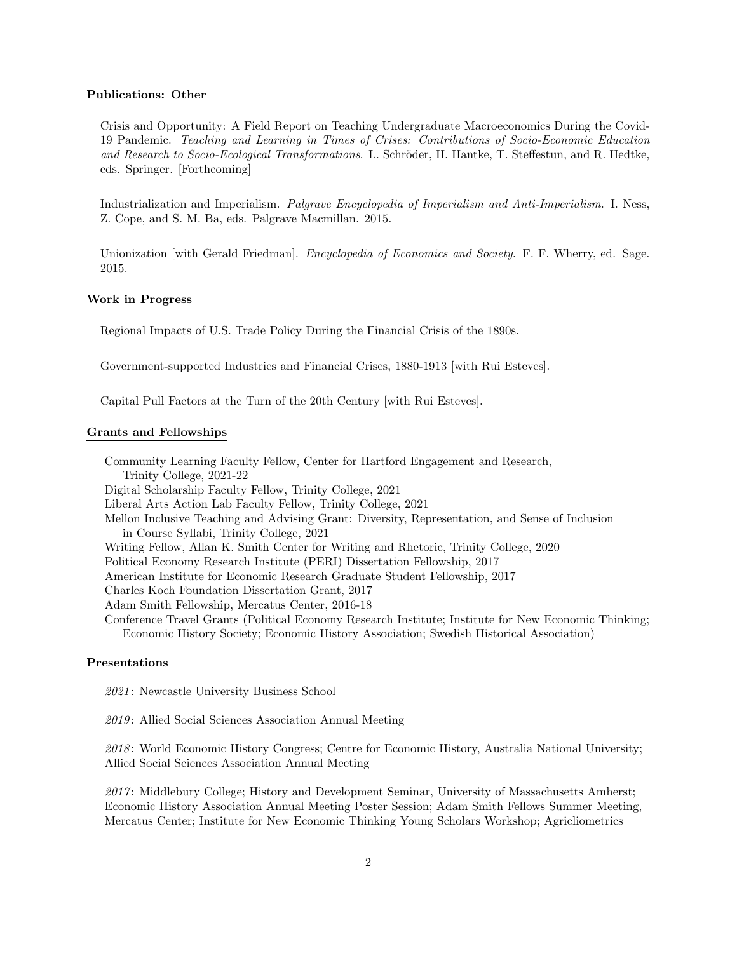#### Publications: Other

Crisis and Opportunity: A Field Report on Teaching Undergraduate Macroeconomics During the Covid-19 Pandemic. Teaching and Learning in Times of Crises: Contributions of Socio-Economic Education and Research to Socio-Ecological Transformations. L. Schröder, H. Hantke, T. Steffestun, and R. Hedtke, eds. Springer. [Forthcoming]

Industrialization and Imperialism. Palgrave Encyclopedia of Imperialism and Anti-Imperialism. I. Ness, Z. Cope, and S. M. Ba, eds. Palgrave Macmillan. 2015.

Unionization [with Gerald Friedman]. *Encyclopedia of Economics and Society*. F. F. Wherry, ed. Sage. 2015.

## Work in Progress

Regional Impacts of U.S. Trade Policy During the Financial Crisis of the 1890s.

Government-supported Industries and Financial Crises, 1880-1913 [with Rui Esteves].

Capital Pull Factors at the Turn of the 20th Century [with Rui Esteves].

# Grants and Fellowships

Community Learning Faculty Fellow, Center for Hartford Engagement and Research, Trinity College, 2021-22 Digital Scholarship Faculty Fellow, Trinity College, 2021 Liberal Arts Action Lab Faculty Fellow, Trinity College, 2021 Mellon Inclusive Teaching and Advising Grant: Diversity, Representation, and Sense of Inclusion in Course Syllabi, Trinity College, 2021 Writing Fellow, Allan K. Smith Center for Writing and Rhetoric, Trinity College, 2020 Political Economy Research Institute (PERI) Dissertation Fellowship, 2017 American Institute for Economic Research Graduate Student Fellowship, 2017 Charles Koch Foundation Dissertation Grant, 2017 Adam Smith Fellowship, Mercatus Center, 2016-18 Conference Travel Grants (Political Economy Research Institute; Institute for New Economic Thinking; Economic History Society; Economic History Association; Swedish Historical Association)

### Presentations

2021: Newcastle University Business School

2019: Allied Social Sciences Association Annual Meeting

2018: World Economic History Congress; Centre for Economic History, Australia National University; Allied Social Sciences Association Annual Meeting

2017 : Middlebury College; History and Development Seminar, University of Massachusetts Amherst; Economic History Association Annual Meeting Poster Session; Adam Smith Fellows Summer Meeting, Mercatus Center; Institute for New Economic Thinking Young Scholars Workshop; Agricliometrics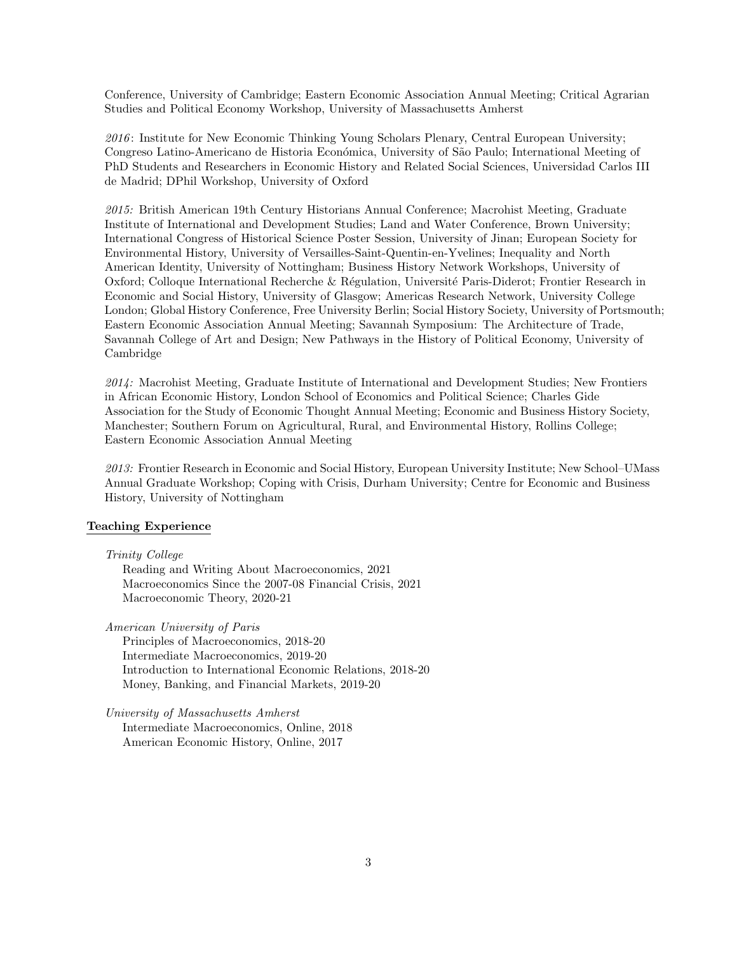Conference, University of Cambridge; Eastern Economic Association Annual Meeting; Critical Agrarian Studies and Political Economy Workshop, University of Massachusetts Amherst

2016: Institute for New Economic Thinking Young Scholars Plenary, Central European University; Congreso Latino-Americano de Historia Económica, University of São Paulo; International Meeting of PhD Students and Researchers in Economic History and Related Social Sciences, Universidad Carlos III de Madrid; DPhil Workshop, University of Oxford

2015: British American 19th Century Historians Annual Conference; Macrohist Meeting, Graduate Institute of International and Development Studies; Land and Water Conference, Brown University; International Congress of Historical Science Poster Session, University of Jinan; European Society for Environmental History, University of Versailles-Saint-Quentin-en-Yvelines; Inequality and North American Identity, University of Nottingham; Business History Network Workshops, University of Oxford; Colloque International Recherche & Régulation, Université Paris-Diderot; Frontier Research in Economic and Social History, University of Glasgow; Americas Research Network, University College London; Global History Conference, Free University Berlin; Social History Society, University of Portsmouth; Eastern Economic Association Annual Meeting; Savannah Symposium: The Architecture of Trade, Savannah College of Art and Design; New Pathways in the History of Political Economy, University of Cambridge

2014: Macrohist Meeting, Graduate Institute of International and Development Studies; New Frontiers in African Economic History, London School of Economics and Political Science; Charles Gide Association for the Study of Economic Thought Annual Meeting; Economic and Business History Society, Manchester; Southern Forum on Agricultural, Rural, and Environmental History, Rollins College; Eastern Economic Association Annual Meeting

2013: Frontier Research in Economic and Social History, European University Institute; New School–UMass Annual Graduate Workshop; Coping with Crisis, Durham University; Centre for Economic and Business History, University of Nottingham

### Teaching Experience

Trinity College

Reading and Writing About Macroeconomics, 2021 Macroeconomics Since the 2007-08 Financial Crisis, 2021 Macroeconomic Theory, 2020-21

American University of Paris

Principles of Macroeconomics, 2018-20 Intermediate Macroeconomics, 2019-20 Introduction to International Economic Relations, 2018-20 Money, Banking, and Financial Markets, 2019-20

University of Massachusetts Amherst Intermediate Macroeconomics, Online, 2018 American Economic History, Online, 2017